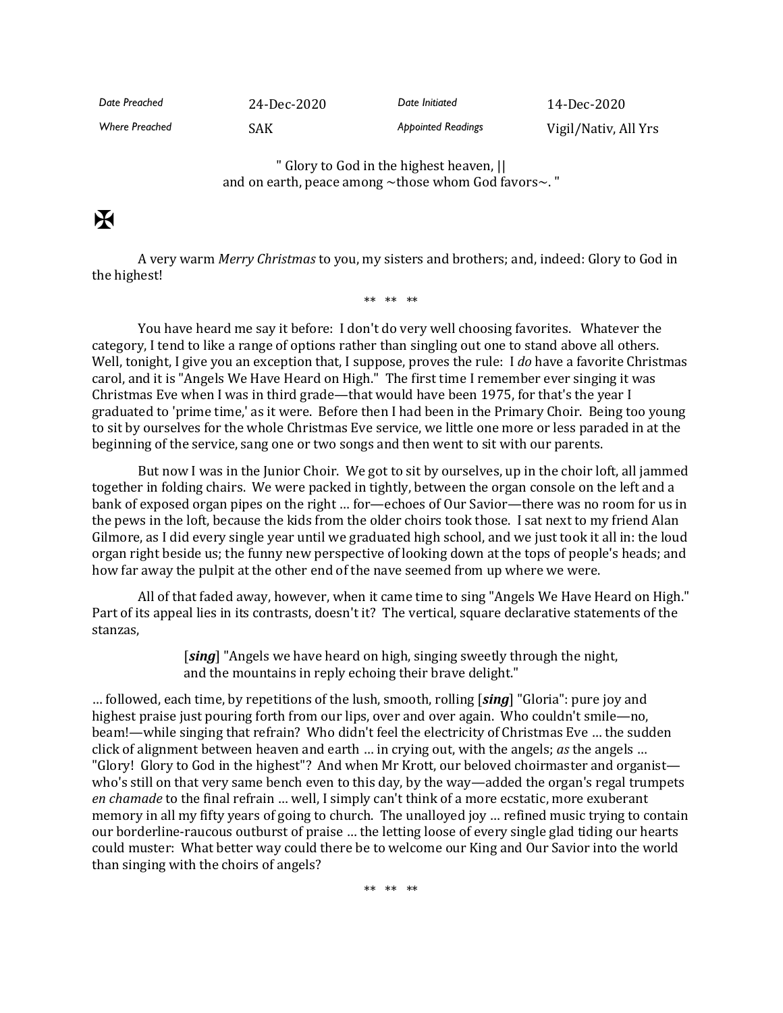*Date Preached* 24-Dec-2020 *Date Initiated* 14-Dec-2020 Where Preached **SAK** SAK **Appointed Readings** Vigil/Nativ, All Yrs

> " Glory to God in the highest heaven, || and on earth, peace among ~those whom God favors~. "

## $\mathbf F$

A very warm *Merry Christmas* to you, my sisters and brothers; and, indeed: Glory to God in the highest!

\*\* \*\* \*\*

You have heard me say it before: I don't do very well choosing favorites. Whatever the category, I tend to like a range of options rather than singling out one to stand above all others. Well, tonight, I give you an exception that, I suppose, proves the rule: I *do* have a favorite Christmas carol, and it is "Angels We Have Heard on High." The first time I remember ever singing it was Christmas Eve when I was in third grade—that would have been 1975, for that's the year I graduated to 'prime time,' as it were. Before then I had been in the Primary Choir. Being too young to sit by ourselves for the whole Christmas Eve service, we little one more or less paraded in at the beginning of the service, sang one or two songs and then went to sit with our parents.

But now I was in the Junior Choir. We got to sit by ourselves, up in the choir loft, all jammed together in folding chairs. We were packed in tightly, between the organ console on the left and a bank of exposed organ pipes on the right … for—echoes of Our Savior—there was no room for us in the pews in the loft, because the kids from the older choirs took those. I sat next to my friend Alan Gilmore, as I did every single year until we graduated high school, and we just took it all in: the loud organ right beside us; the funny new perspective of looking down at the tops of people's heads; and how far away the pulpit at the other end of the nave seemed from up where we were.

All of that faded away, however, when it came time to sing "Angels We Have Heard on High." Part of its appeal lies in its contrasts, doesn't it? The vertical, square declarative statements of the stanzas,

> [*sing*] "Angels we have heard on high, singing sweetly through the night, and the mountains in reply echoing their brave delight."

… followed, each time, by repetitions of the lush, smooth, rolling [*sing*] "Gloria": pure joy and highest praise just pouring forth from our lips, over and over again. Who couldn't smile—no, beam!—while singing that refrain? Who didn't feel the electricity of Christmas Eve … the sudden click of alignment between heaven and earth … in crying out, with the angels; *as* the angels … "Glory! Glory to God in the highest"? And when Mr Krott, our beloved choirmaster and organist who's still on that very same bench even to this day, by the way—added the organ's regal trumpets *en chamade* to the final refrain … well, I simply can't think of a more ecstatic, more exuberant memory in all my fifty years of going to church. The unalloyed joy … refined music trying to contain our borderline-raucous outburst of praise … the letting loose of every single glad tiding our hearts could muster: What better way could there be to welcome our King and Our Savior into the world than singing with the choirs of angels?

\*\* \*\* \*\*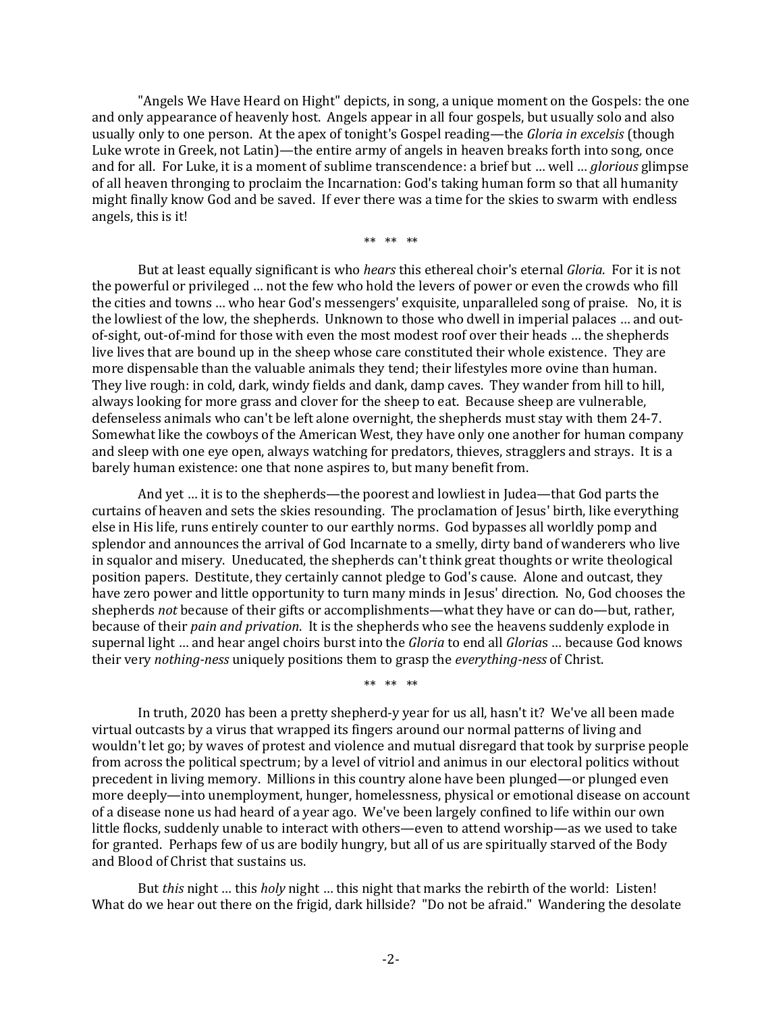"Angels We Have Heard on Hight" depicts, in song, a unique moment on the Gospels: the one and only appearance of heavenly host. Angels appear in all four gospels, but usually solo and also usually only to one person. At the apex of tonight's Gospel reading—the *Gloria in excelsis* (though Luke wrote in Greek, not Latin)—the entire army of angels in heaven breaks forth into song, once and for all. For Luke, it is a moment of sublime transcendence: a brief but … well … *glorious* glimpse of all heaven thronging to proclaim the Incarnation: God's taking human form so that all humanity might finally know God and be saved. If ever there was a time for the skies to swarm with endless angels, this is it!

\*\* \*\* \*\*

But at least equally significant is who *hears* this ethereal choir's eternal *Gloria*. For it is not the powerful or privileged … not the few who hold the levers of power or even the crowds who fill the cities and towns … who hear God's messengers' exquisite, unparalleled song of praise. No, it is the lowliest of the low, the shepherds. Unknown to those who dwell in imperial palaces … and outof-sight, out-of-mind for those with even the most modest roof over their heads … the shepherds live lives that are bound up in the sheep whose care constituted their whole existence. They are more dispensable than the valuable animals they tend; their lifestyles more ovine than human. They live rough: in cold, dark, windy fields and dank, damp caves. They wander from hill to hill, always looking for more grass and clover for the sheep to eat. Because sheep are vulnerable, defenseless animals who can't be left alone overnight, the shepherds must stay with them 24-7. Somewhat like the cowboys of the American West, they have only one another for human company and sleep with one eye open, always watching for predators, thieves, stragglers and strays. It is a barely human existence: one that none aspires to, but many benefit from.

And yet … it is to the shepherds—the poorest and lowliest in Judea—that God parts the curtains of heaven and sets the skies resounding. The proclamation of Jesus' birth, like everything else in His life, runs entirely counter to our earthly norms. God bypasses all worldly pomp and splendor and announces the arrival of God Incarnate to a smelly, dirty band of wanderers who live in squalor and misery. Uneducated, the shepherds can't think great thoughts or write theological position papers. Destitute, they certainly cannot pledge to God's cause. Alone and outcast, they have zero power and little opportunity to turn many minds in Jesus' direction. No, God chooses the shepherds *not* because of their gifts or accomplishments—what they have or can do—but, rather, because of their *pain and privation*. It is the shepherds who see the heavens suddenly explode in supernal light … and hear angel choirs burst into the *Gloria* to end all *Gloria*s … because God knows their very *nothing-ness* uniquely positions them to grasp the *everything-ness* of Christ.

\*\* \*\* \*\*

In truth, 2020 has been a pretty shepherd-y year for us all, hasn't it? We've all been made virtual outcasts by a virus that wrapped its fingers around our normal patterns of living and wouldn't let go; by waves of protest and violence and mutual disregard that took by surprise people from across the political spectrum; by a level of vitriol and animus in our electoral politics without precedent in living memory. Millions in this country alone have been plunged—or plunged even more deeply—into unemployment, hunger, homelessness, physical or emotional disease on account of a disease none us had heard of a year ago. We've been largely confined to life within our own little flocks, suddenly unable to interact with others—even to attend worship—as we used to take for granted. Perhaps few of us are bodily hungry, but all of us are spiritually starved of the Body and Blood of Christ that sustains us.

But *this* night … this *holy* night … this night that marks the rebirth of the world: Listen! What do we hear out there on the frigid, dark hillside? "Do not be afraid." Wandering the desolate